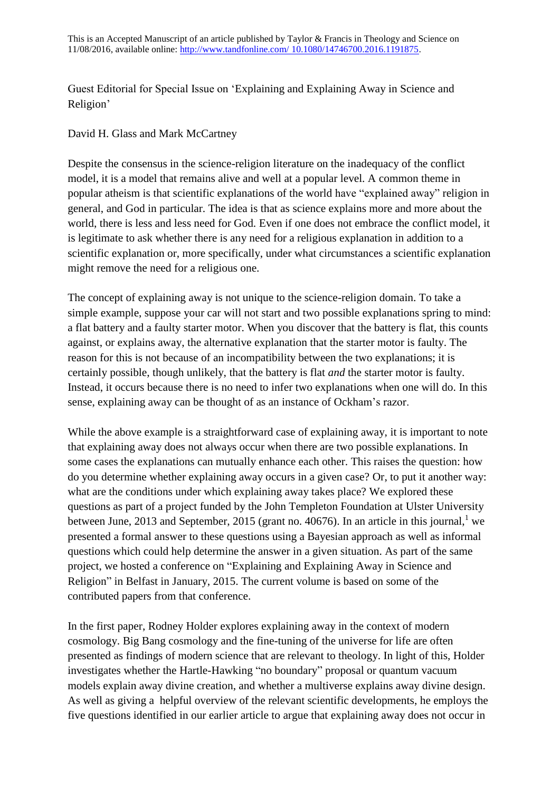Guest Editorial for Special Issue on 'Explaining and Explaining Away in Science and Religion'

## David H. Glass and Mark McCartney

Despite the consensus in the science-religion literature on the inadequacy of the conflict model, it is a model that remains alive and well at a popular level. A common theme in popular atheism is that scientific explanations of the world have "explained away" religion in general, and God in particular. The idea is that as science explains more and more about the world, there is less and less need for God. Even if one does not embrace the conflict model, it is legitimate to ask whether there is any need for a religious explanation in addition to a scientific explanation or, more specifically, under what circumstances a scientific explanation might remove the need for a religious one.

The concept of explaining away is not unique to the science-religion domain. To take a simple example, suppose your car will not start and two possible explanations spring to mind: a flat battery and a faulty starter motor. When you discover that the battery is flat, this counts against, or explains away, the alternative explanation that the starter motor is faulty. The reason for this is not because of an incompatibility between the two explanations; it is certainly possible, though unlikely, that the battery is flat *and* the starter motor is faulty. Instead, it occurs because there is no need to infer two explanations when one will do. In this sense, explaining away can be thought of as an instance of Ockham's razor.

While the above example is a straightforward case of explaining away, it is important to note that explaining away does not always occur when there are two possible explanations. In some cases the explanations can mutually enhance each other. This raises the question: how do you determine whether explaining away occurs in a given case? Or, to put it another way: what are the conditions under which explaining away takes place? We explored these questions as part of a project funded by the John Templeton Foundation at Ulster University between June, 2013 and September, 2015 (grant no. 40676). In an article in this journal, <sup>1</sup> we presented a formal answer to these questions using a Bayesian approach as well as informal questions which could help determine the answer in a given situation. As part of the same project, we hosted a conference on "Explaining and Explaining Away in Science and Religion" in Belfast in January, 2015. The current volume is based on some of the contributed papers from that conference.

In the first paper, Rodney Holder explores explaining away in the context of modern cosmology. Big Bang cosmology and the fine-tuning of the universe for life are often presented as findings of modern science that are relevant to theology. In light of this, Holder investigates whether the Hartle-Hawking "no boundary" proposal or quantum vacuum models explain away divine creation, and whether a multiverse explains away divine design. As well as giving a helpful overview of the relevant scientific developments, he employs the five questions identified in our earlier article to argue that explaining away does not occur in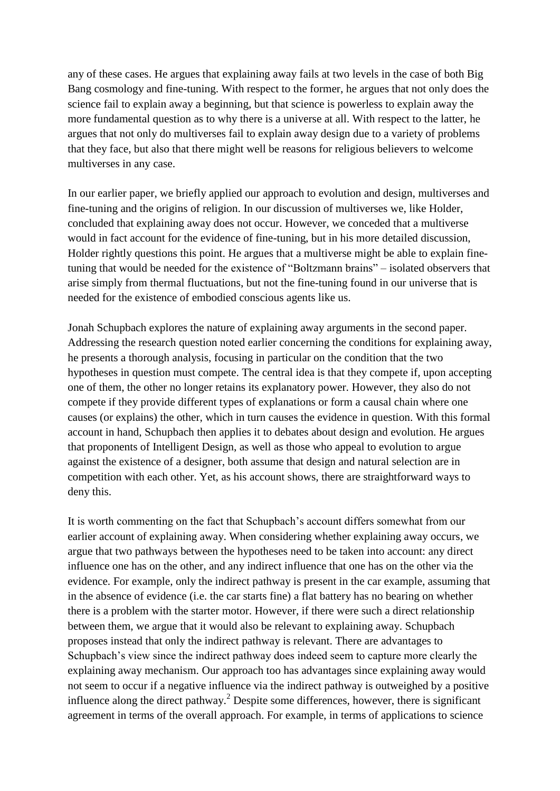any of these cases. He argues that explaining away fails at two levels in the case of both Big Bang cosmology and fine-tuning. With respect to the former, he argues that not only does the science fail to explain away a beginning, but that science is powerless to explain away the more fundamental question as to why there is a universe at all. With respect to the latter, he argues that not only do multiverses fail to explain away design due to a variety of problems that they face, but also that there might well be reasons for religious believers to welcome multiverses in any case.

In our earlier paper, we briefly applied our approach to evolution and design, multiverses and fine-tuning and the origins of religion. In our discussion of multiverses we, like Holder, concluded that explaining away does not occur. However, we conceded that a multiverse would in fact account for the evidence of fine-tuning, but in his more detailed discussion, Holder rightly questions this point. He argues that a multiverse might be able to explain finetuning that would be needed for the existence of "Boltzmann brains" – isolated observers that arise simply from thermal fluctuations, but not the fine-tuning found in our universe that is needed for the existence of embodied conscious agents like us.

Jonah Schupbach explores the nature of explaining away arguments in the second paper. Addressing the research question noted earlier concerning the conditions for explaining away, he presents a thorough analysis, focusing in particular on the condition that the two hypotheses in question must compete. The central idea is that they compete if, upon accepting one of them, the other no longer retains its explanatory power. However, they also do not compete if they provide different types of explanations or form a causal chain where one causes (or explains) the other, which in turn causes the evidence in question. With this formal account in hand, Schupbach then applies it to debates about design and evolution. He argues that proponents of Intelligent Design, as well as those who appeal to evolution to argue against the existence of a designer, both assume that design and natural selection are in competition with each other. Yet, as his account shows, there are straightforward ways to deny this.

It is worth commenting on the fact that Schupbach's account differs somewhat from our earlier account of explaining away. When considering whether explaining away occurs, we argue that two pathways between the hypotheses need to be taken into account: any direct influence one has on the other, and any indirect influence that one has on the other via the evidence. For example, only the indirect pathway is present in the car example, assuming that in the absence of evidence (i.e. the car starts fine) a flat battery has no bearing on whether there is a problem with the starter motor. However, if there were such a direct relationship between them, we argue that it would also be relevant to explaining away. Schupbach proposes instead that only the indirect pathway is relevant. There are advantages to Schupbach's view since the indirect pathway does indeed seem to capture more clearly the explaining away mechanism. Our approach too has advantages since explaining away would not seem to occur if a negative influence via the indirect pathway is outweighed by a positive influence along the direct pathway.<sup>2</sup> Despite some differences, however, there is significant agreement in terms of the overall approach. For example, in terms of applications to science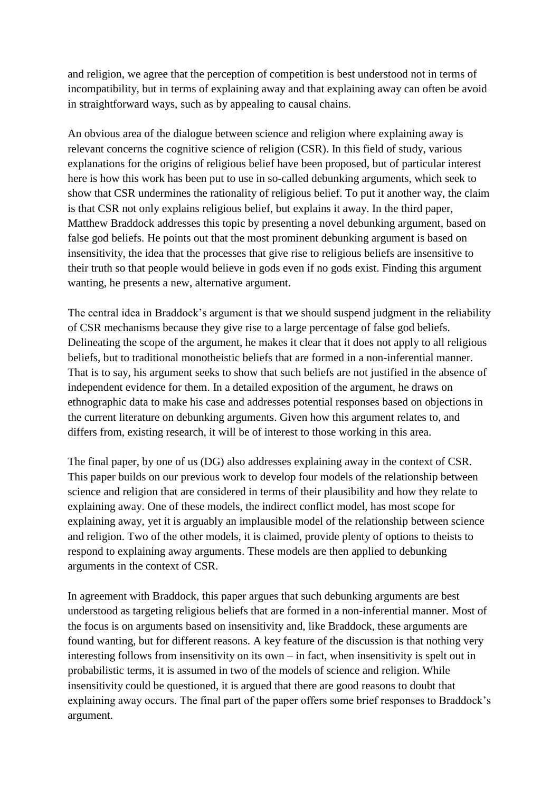and religion, we agree that the perception of competition is best understood not in terms of incompatibility, but in terms of explaining away and that explaining away can often be avoid in straightforward ways, such as by appealing to causal chains.

An obvious area of the dialogue between science and religion where explaining away is relevant concerns the cognitive science of religion (CSR). In this field of study, various explanations for the origins of religious belief have been proposed, but of particular interest here is how this work has been put to use in so-called debunking arguments, which seek to show that CSR undermines the rationality of religious belief. To put it another way, the claim is that CSR not only explains religious belief, but explains it away. In the third paper, Matthew Braddock addresses this topic by presenting a novel debunking argument, based on false god beliefs. He points out that the most prominent debunking argument is based on insensitivity, the idea that the processes that give rise to religious beliefs are insensitive to their truth so that people would believe in gods even if no gods exist. Finding this argument wanting, he presents a new, alternative argument.

The central idea in Braddock's argument is that we should suspend judgment in the reliability of CSR mechanisms because they give rise to a large percentage of false god beliefs. Delineating the scope of the argument, he makes it clear that it does not apply to all religious beliefs, but to traditional monotheistic beliefs that are formed in a non-inferential manner. That is to say, his argument seeks to show that such beliefs are not justified in the absence of independent evidence for them. In a detailed exposition of the argument, he draws on ethnographic data to make his case and addresses potential responses based on objections in the current literature on debunking arguments. Given how this argument relates to, and differs from, existing research, it will be of interest to those working in this area.

The final paper, by one of us (DG) also addresses explaining away in the context of CSR. This paper builds on our previous work to develop four models of the relationship between science and religion that are considered in terms of their plausibility and how they relate to explaining away. One of these models, the indirect conflict model, has most scope for explaining away, yet it is arguably an implausible model of the relationship between science and religion. Two of the other models, it is claimed, provide plenty of options to theists to respond to explaining away arguments. These models are then applied to debunking arguments in the context of CSR.

In agreement with Braddock, this paper argues that such debunking arguments are best understood as targeting religious beliefs that are formed in a non-inferential manner. Most of the focus is on arguments based on insensitivity and, like Braddock, these arguments are found wanting, but for different reasons. A key feature of the discussion is that nothing very interesting follows from insensitivity on its own – in fact, when insensitivity is spelt out in probabilistic terms, it is assumed in two of the models of science and religion. While insensitivity could be questioned, it is argued that there are good reasons to doubt that explaining away occurs. The final part of the paper offers some brief responses to Braddock's argument.